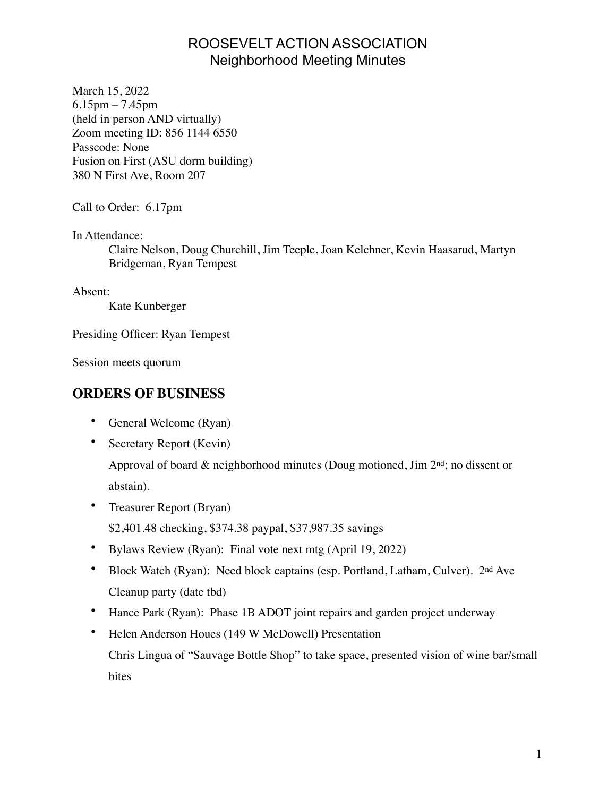## ROOSEVELT ACTION ASSOCIATION Neighborhood Meeting Minutes

March 15, 2022 6.15pm – 7.45pm (held in person AND virtually) Zoom meeting ID: 856 1144 6550 Passcode: None Fusion on First (ASU dorm building) 380 N First Ave, Room 207

Call to Order: 6.17pm

In Attendance:

Claire Nelson, Doug Churchill, Jim Teeple, Joan Kelchner, Kevin Haasarud, Martyn Bridgeman, Ryan Tempest

Absent:

Kate Kunberger

Presiding Officer: Ryan Tempest

Session meets quorum

## **ORDERS OF BUSINESS**

- General Welcome (Ryan)
- Secretary Report (Kevin)

Approval of board & neighborhood minutes (Doug motioned, Jim 2nd; no dissent or abstain).

• Treasurer Report (Bryan)

\$2,401.48 checking, \$374.38 paypal, \$37,987.35 savings

- Bylaws Review (Ryan): Final vote next mtg (April 19, 2022)
- Block Watch (Ryan): Need block captains (esp. Portland, Latham, Culver). 2<sup>nd</sup> Ave Cleanup party (date tbd)
- Hance Park (Ryan): Phase 1B ADOT joint repairs and garden project underway
- Helen Anderson Houes (149 W McDowell) Presentation Chris Lingua of "Sauvage Bottle Shop" to take space, presented vision of wine bar/small bites